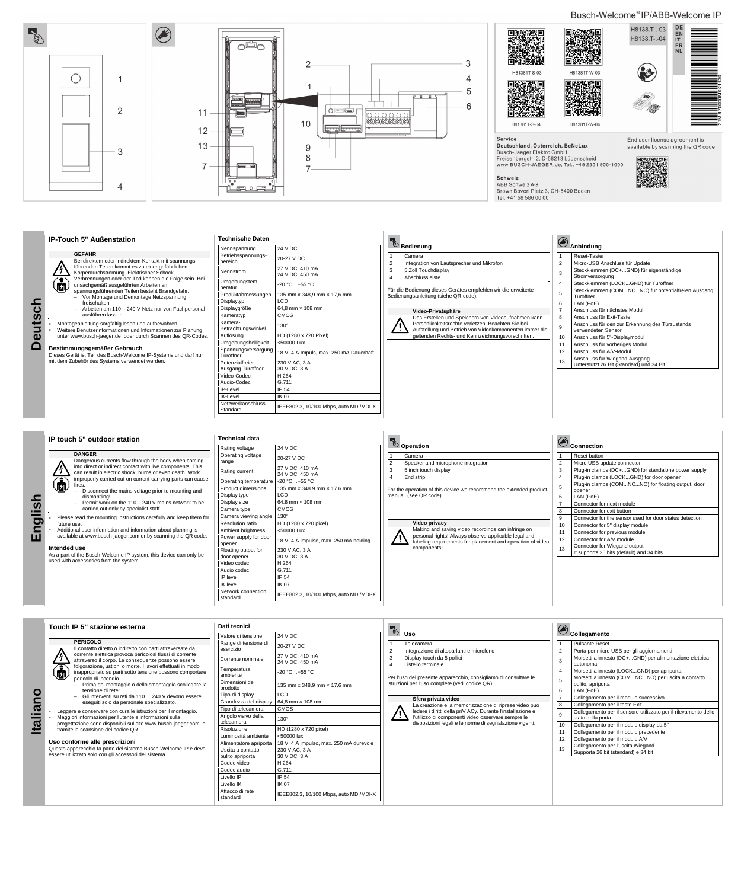## Busch-Welcome®IP/ABB-Welcome IP



|                   | <b>IP-Touch 5" Außenstation</b>                                                                                   | <b>Technische Daten</b>          |                                         | Bedienung                                                                                                          |                 |                                                                       |
|-------------------|-------------------------------------------------------------------------------------------------------------------|----------------------------------|-----------------------------------------|--------------------------------------------------------------------------------------------------------------------|-----------------|-----------------------------------------------------------------------|
|                   |                                                                                                                   | Nennspannung                     | 24 V DC                                 |                                                                                                                    |                 | <b>Anbinduna</b>                                                      |
|                   | <b>GEFAHR</b><br>Bei direktem oder indirektem Kontakt mit spannungs-                                              | Betriebsspannungs-<br>bereich    | 20-27 V DC                              | Camera<br>Integration von Lautsprecher und Mikrofon                                                                |                 | Reset-Taster<br>Micro-USB Anschluss für Update                        |
|                   | führenden Teilen kommt es zu einer gefährlichen<br>Körperdurchströmung. Elektrischer Schock,                      | Nennstrom                        | 27 V DC, 410 mA<br>24 V DC, 450 mA      | 5 Zoll Touchdisplay                                                                                                |                 | Steckklemmen (DC+GND) für eigenständige<br>Stromversorgung            |
|                   | Verbrennungen oder der Tod können die Folge sein. Bei<br>unsachgemäß ausgeführten Arbeiten an<br>咽                | Umgebungstem-<br>peratur         | $-20 °C+55 °C$                          | Abschlussleiste                                                                                                    |                 | Steckklemmen (LOCKGND) für Türöffner                                  |
|                   | spannungsführenden Teilen besteht Brandgefahr.<br>- Vor Montage und Demontage Netzspannung                        | Produktabmessungen               | 135 mm x 348,9 mm x 17,6 mm             | Für die Bedienung dieses Gerätes empfehlen wir die erweiterte<br>Bedienungsanleitung (siehe QR-code).              |                 | Steckklemmen (COMNCNO) für potentialfreien Ausgang,<br>Türöffner      |
|                   | freischalten!                                                                                                     | Displaytyp                       | LCD                                     |                                                                                                                    |                 | LAN (PoE)                                                             |
| $\mathbf C$       | - Arbeiten am 110 - 240 V-Netz nur von Fachpersonal                                                               | Displaygröße                     | 64.8 mm × 108 mm                        | Video-Privatsphäre                                                                                                 |                 | Anschluss für nächstes Modul                                          |
| <u>يا</u>         | ausführen lassen.                                                                                                 | Kameratyp                        | <b>CMOS</b>                             | Das Erstellen und Speichern von Videoaufnahmen kann                                                                |                 | Anschluss für Exit-Taste                                              |
| E                 | Montageanleitung sorgfältig lesen und aufbewahren.<br>Weitere Benutzerinformationen und Informationen zur Planung | Kamera-<br>Betrachtungswinkel    | $130^\circ$                             | Persönlichkeitsrechte verletzen. Beachten Sie bei<br>' :<br>Aufstellung und Betrieb von Videokomponenten immer die |                 | Anschluss für den zur Erkennung des Türzustands<br>verwendeten Sensor |
| Φ                 | unter www.busch-jaeger.de oder durch Scannen des QR-Codes.                                                        | Auflösung                        | HD (1280 x 720 Pixel)                   | geltenden Rechts- und Kennzeichnungsvorschriften.                                                                  |                 | Anschluss für 5"-Displaymodul                                         |
| $\mathsf{\Gamma}$ |                                                                                                                   | Umgebungshelligkeit              | <50000 Lux                              |                                                                                                                    |                 | Anschluss für vorheriges Modul                                        |
|                   | Bestimmungsgemäßer Gebrauch<br>Dieses Gerät ist Teil des Busch-Welcome IP-Systems und darf nur                    | Spannungsversorgung<br>Türöffner | 18 V, 4 A Impuls, max. 250 mA Dauerhaft |                                                                                                                    | 12 <sup>2</sup> | Anschluss für A/V-Modul<br>Anschluss für Wiegand-Ausgang              |
|                   | mit dem Zubehör des Systems verwendet werden.                                                                     | Potenzialfreier                  | 230 V AC, 3 A                           |                                                                                                                    | 13              | Unterstützt 26 Bit (Standard) und 34 Bit                              |
|                   |                                                                                                                   | Ausgang Türöffner                | 30 V DC, 3 A                            |                                                                                                                    |                 |                                                                       |
|                   |                                                                                                                   | Video-Codec                      | H.264                                   |                                                                                                                    |                 |                                                                       |
|                   |                                                                                                                   | Audio-Codec                      | G.711                                   |                                                                                                                    |                 |                                                                       |
|                   |                                                                                                                   | IP-Level                         | <b>IP 54</b>                            |                                                                                                                    |                 |                                                                       |
|                   |                                                                                                                   | <b>IK-Level</b>                  | <b>IK 07</b>                            |                                                                                                                    |                 |                                                                       |
|                   |                                                                                                                   | Netzwerkanschluss<br>Standard    | IEEE802.3, 10/100 Mbps, auto MDI/MDI-X  |                                                                                                                    |                 |                                                                       |

**English**

## **Collegamento Touch IP 5" stazione esterna Dati tecnici Uso** Valore di tensione 24 V DC **PERICOLO** Range di tensione di 1 | Telecamera 1 Pulsante Reset 20-27 V DC 2 Integrazione di altoparlanti e microfono Il contatto diretto o indiretto con parti attraversate da 2 Porta per micro-USB per gli aggiornamenti  $\frac{\sqrt{7}}{\sqrt{2}}$ corrente elettrica provoca pericolosi flussi di corrente Corrente nominale 27 V DC, 410 mA 24 V DC, 450 mA 3 Display touch da 5 pollici 3 Morsetti a innesto (DC+...GND) per alimentazione elettrica attraverso il corpo. Le conseguenze possono essere autonoma 4 Listello terminale folgorazione, ustioni o morte. I lavori effettuati in modo  $t$  morseto (LOCK...GND) per aprilo

| IP touch 5" outdoor station                                                                                                                                                         | <b>Technical data</b><br>Rating voltage           | 24 V DC                                                 | <b>E</b> Operation                                                                                         |    | Connection                                                                                      |
|-------------------------------------------------------------------------------------------------------------------------------------------------------------------------------------|---------------------------------------------------|---------------------------------------------------------|------------------------------------------------------------------------------------------------------------|----|-------------------------------------------------------------------------------------------------|
| <b>DANGER</b><br>Dangerous currents flow through the body when coming                                                                                                               | Operating voltage<br>range                        | 20-27 V DC                                              | Camera<br>Speaker and microphone integration                                                               |    | Reset button<br>Micro USB update connector                                                      |
| into direct or indirect contact with live components. This<br>can result in electric shock, burns or even death. Work<br>improperly carried out on current-carrying parts can cause | Rating current                                    | 27 V DC, 410 mA<br>24 V DC, 450 mA                      | 5 inch touch display<br>End strip                                                                          |    | Plug-in clamps (DC+GND) for standalone power supply<br>Plug-in clamps (LOCKGND) for door opener |
| $\bf \widehat{a}$<br>fires.                                                                                                                                                         | Operating temperature<br>Product dimensions       | 1-20 °C…+55 °C<br>135 mm x 348.9 mm x 17.6 mm           | For the operation of this device we recommend the extended product                                         |    | Plug-in clamps (COMNCNO) for floating output, door<br>opener                                    |
| Disconnect the mains voltage prior to mounting and<br>dismantling!                                                                                                                  | Display type                                      | LCD                                                     | manual. (see QR code)                                                                                      |    | LAN (PoE)                                                                                       |
| - Permit work on the $110 - 240$ V mains network to be<br>carried out only by specialist staff.                                                                                     | Display size<br>Camera type                       | 64.8 mm × 108 mm<br><b>CMOS</b>                         |                                                                                                            |    | Connector for next module<br>Connector for exit button                                          |
| Please read the mounting instructions carefully and keep them for<br>future use.                                                                                                    | Camera viewing angle<br>Resolution ratio          | $130^\circ$<br>HD (1280 x 720 pixel)                    | Video privacy                                                                                              |    | Connector for the sensor used for door status detection<br>Connector for 5" display module      |
| Additional user information and information about planning is<br>available at www.busch-jaeger.com or by scanning the QR code.                                                      | Ambient brightness<br>Power supply for door       | <50000 Lux                                              | Making and saving video recordings can infringe on<br>personal rights! Always observe applicable legal and | 12 | Connector for previous module<br>Connector for A/V module                                       |
| Intended use<br>As a part of the Busch-Welcome IP system, this device can only be                                                                                                   | opener<br>Floating output for                     | 18 V, 4 A impulse, max. 250 mA holding<br>230 V AC, 3 A | labeling requirements for placement and operation of video<br>components!                                  |    | Connector for Wiegand output<br>It supports 26 bits (default) and 34 bits                       |
| used with accessories from the system.                                                                                                                                              | door opener<br>Video codec                        | 30 V DC, 3 A<br>H.264                                   |                                                                                                            |    |                                                                                                 |
|                                                                                                                                                                                     | Audio codec<br>IP level                           | G.711<br><b>IP 54</b>                                   |                                                                                                            |    |                                                                                                 |
|                                                                                                                                                                                     | <b>IK</b> level<br>Network connection<br>standard | <b>IK 07</b><br>IEEE802.3, 10/100 Mbps, auto MDI/MDI-X  |                                                                                                            |    |                                                                                                 |

| <u>TURQUI AZIONE. USUVITI O TITULE. FIAVULI ENEIGUALI ILI MUUO</u><br>inappropriato su parti sotto tensione possono comportare<br>四<br>pericolo di incendio.<br>Prima del montaggio o dello smontaggio scollegare la<br>tensione di rete!<br>O<br>- Gli interventi su reti da 110  240 V devono essere<br>eseguiti solo da personale specializzato.<br><u>ក</u><br>Leggere e conservare con cura le istruzioni per il montaggio.<br>Maggiori informazioni per l'utente e informazioni sulla<br>-<br>$\boldsymbol{\varpi}$<br>progettazione sono disponibili sul sito www.busch-jaeger.com o<br>tramite la scansione del codice QR.<br>Uso conforme alle prescrizioni<br>Questo apparecchio fa parte del sistema Busch-Welcome IP e deve<br>essere utilizzato solo con gli accessori del sistema. | Temperatura<br>ambiente<br>Dimensioni del<br>prodotto<br>Tipo di display<br>Grandezza del display<br>Tipo di telecamera<br>Angolo visivo della<br>telecamera<br>Risoluzione<br>Luminosità ambiente<br>Alimentatore apriporta<br>Uscita a contatto<br>pulito apriporta<br>Codec video<br>Codec audio<br>Livello IP<br>Livello IK<br>Attacco di rete<br>standard | -20 °C…+55 °C<br>135 mm x 348.9 mm x 17.6 mm<br><b>LCD</b><br>64,8 mm $\times$ 108 mm<br>CMOS<br>$130^\circ$<br>HD (1280 x 720 pixel)<br><50000 lux<br>18 V, 4 A impulso, max. 250 mA durevole<br>230 V AC, 3 A<br>30 V DC, 3 A<br>H.264<br>G.711<br><b>IP 54</b><br><b>IK 07</b><br>IEEE802.3, 10/100 Mbps, auto MDI/MDI-X | Per l'uso del presente apparecchio, consigliamo di consultare le<br>istruzioni per l'uso complete (vedi codice QR).<br>Sfera privata video<br>La creazione e la memorizzazione di riprese video può<br>ledere i diritti della priV ACy. Durante l'installazione e<br>l'utilizzo di componenti video osservare sempre le<br>disposizioni legali e le norme di segnalazione vigenti. |  | Morsetti a innesto (LOCKGND) per apriporta<br>Morsetti a innesto (COMNCNO) per uscita a contatto<br>pulito, apriporta<br>LAN (PoE)<br>Collegamento per il modulo successivo<br>Collegamento per il tasto Exit<br>Collegamento per il sensore utilizzato per il rilevamento dello<br>stato della porta<br>Collegamento per il modulo display da 5"<br>Collegamento per il modulo precedente<br>Collegamento per il modulo A/V<br>Collegamento per l'uscita Wiegand<br>Supporta 26 bit (standard) e 34 bit |
|--------------------------------------------------------------------------------------------------------------------------------------------------------------------------------------------------------------------------------------------------------------------------------------------------------------------------------------------------------------------------------------------------------------------------------------------------------------------------------------------------------------------------------------------------------------------------------------------------------------------------------------------------------------------------------------------------------------------------------------------------------------------------------------------------|----------------------------------------------------------------------------------------------------------------------------------------------------------------------------------------------------------------------------------------------------------------------------------------------------------------------------------------------------------------|-----------------------------------------------------------------------------------------------------------------------------------------------------------------------------------------------------------------------------------------------------------------------------------------------------------------------------|------------------------------------------------------------------------------------------------------------------------------------------------------------------------------------------------------------------------------------------------------------------------------------------------------------------------------------------------------------------------------------|--|----------------------------------------------------------------------------------------------------------------------------------------------------------------------------------------------------------------------------------------------------------------------------------------------------------------------------------------------------------------------------------------------------------------------------------------------------------------------------------------------------------|
|--------------------------------------------------------------------------------------------------------------------------------------------------------------------------------------------------------------------------------------------------------------------------------------------------------------------------------------------------------------------------------------------------------------------------------------------------------------------------------------------------------------------------------------------------------------------------------------------------------------------------------------------------------------------------------------------------------------------------------------------------------------------------------------------------|----------------------------------------------------------------------------------------------------------------------------------------------------------------------------------------------------------------------------------------------------------------------------------------------------------------------------------------------------------------|-----------------------------------------------------------------------------------------------------------------------------------------------------------------------------------------------------------------------------------------------------------------------------------------------------------------------------|------------------------------------------------------------------------------------------------------------------------------------------------------------------------------------------------------------------------------------------------------------------------------------------------------------------------------------------------------------------------------------|--|----------------------------------------------------------------------------------------------------------------------------------------------------------------------------------------------------------------------------------------------------------------------------------------------------------------------------------------------------------------------------------------------------------------------------------------------------------------------------------------------------------|